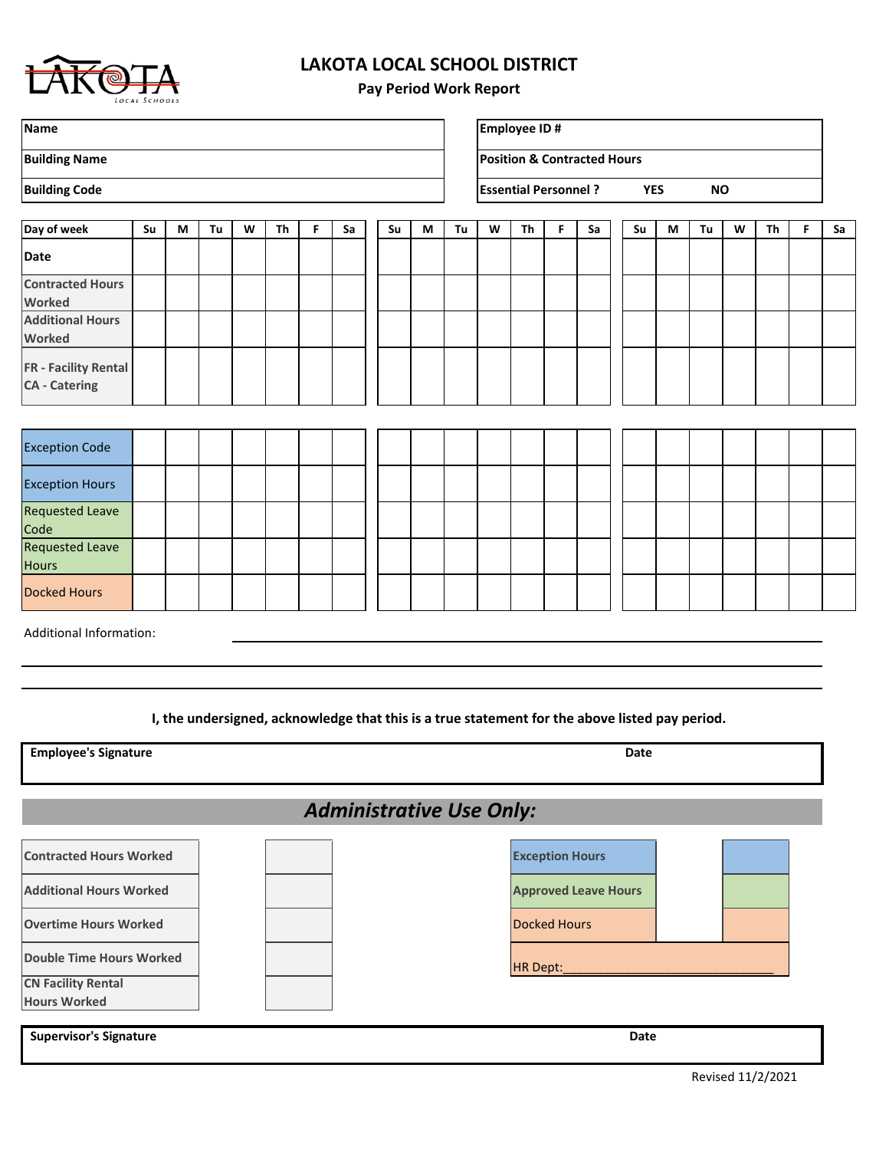

## **LAKOTA LOCAL SCHOOL DISTRICT**

**Pay Period Work Report**

| <b>Name</b>                                         |    |   |    |   |           |   |    |    |   |    |   | <b>Employee ID#</b>         |    |                                        |    |            |           |   |    |   |    |
|-----------------------------------------------------|----|---|----|---|-----------|---|----|----|---|----|---|-----------------------------|----|----------------------------------------|----|------------|-----------|---|----|---|----|
| <b>Building Name</b>                                |    |   |    |   |           |   |    |    |   |    |   |                             |    | <b>Position &amp; Contracted Hours</b> |    |            |           |   |    |   |    |
| <b>Building Code</b>                                |    |   |    |   |           |   |    |    |   |    |   | <b>Essential Personnel?</b> |    |                                        |    | <b>YES</b> | <b>NO</b> |   |    |   |    |
| Day of week                                         | Su | M | Tu | W | <b>Th</b> | F | Sa | Su | M | Tu | W | Th                          | F. | Sa                                     | Su | M          | Tu        | W | Th | F | Sa |
| <b>Date</b>                                         |    |   |    |   |           |   |    |    |   |    |   |                             |    |                                        |    |            |           |   |    |   |    |
| <b>Contracted Hours</b><br>Worked                   |    |   |    |   |           |   |    |    |   |    |   |                             |    |                                        |    |            |           |   |    |   |    |
| <b>Additional Hours</b><br><b>Worked</b>            |    |   |    |   |           |   |    |    |   |    |   |                             |    |                                        |    |            |           |   |    |   |    |
| <b>FR</b> - Facility Rental<br><b>CA</b> - Catering |    |   |    |   |           |   |    |    |   |    |   |                             |    |                                        |    |            |           |   |    |   |    |
|                                                     |    |   |    |   |           |   |    |    |   |    |   |                             |    |                                        |    |            |           |   |    |   |    |
| <b>Exception Code</b>                               |    |   |    |   |           |   |    |    |   |    |   |                             |    |                                        |    |            |           |   |    |   |    |
| <b>Exception Hours</b>                              |    |   |    |   |           |   |    |    |   |    |   |                             |    |                                        |    |            |           |   |    |   |    |
| <b>Requested Leave</b><br>Code                      |    |   |    |   |           |   |    |    |   |    |   |                             |    |                                        |    |            |           |   |    |   |    |
| Requested Leave<br><b>Hours</b>                     |    |   |    |   |           |   |    |    |   |    |   |                             |    |                                        |    |            |           |   |    |   |    |
| <b>Docked Hours</b>                                 |    |   |    |   |           |   |    |    |   |    |   |                             |    |                                        |    |            |           |   |    |   |    |
| Additional Information:                             |    |   |    |   |           |   |    |    |   |    |   |                             |    |                                        |    |            |           |   |    |   |    |
|                                                     |    |   |    |   |           |   |    |    |   |    |   |                             |    |                                        |    |            |           |   |    |   |    |
|                                                     |    |   |    |   |           |   |    |    |   |    |   |                             |    |                                        |    |            |           |   |    |   |    |

**I, the undersigned, acknowledge that this is a true statement for the above listed pay period.**

Additional Hours Worked **Approved Leave Hours Approved Leave Hours** *Administrative Use Only:* **Employee's Signature Date Contracted Hours Worked Exception Hours Supervisor's Signature Date of Supervisor's Signature Date of Supervisor's Signature Date Overtime Hours Worked Now Research Contract Contract Contract Contract Contract Contract Contract Operations Double Time Hours Worked HR Dept:** Now a set of the set of the set of the set of the set of the set of the set o **CN Facility Rental Hours Worked**